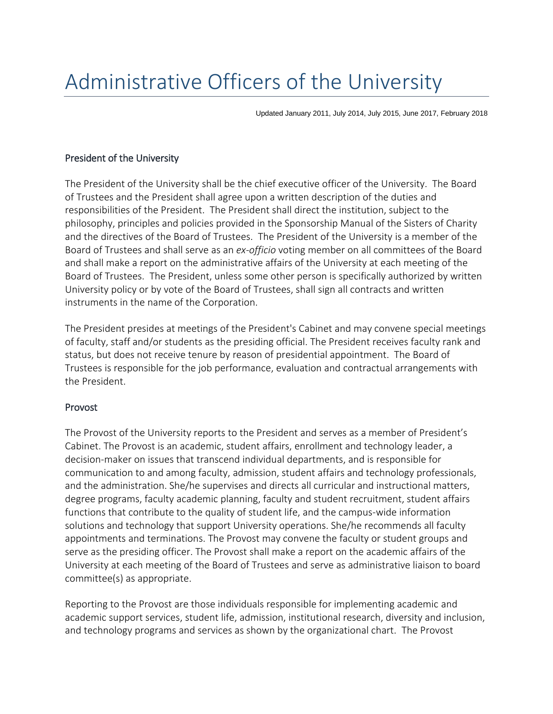# Administrative Officers of the University

Updated January 2011, July 2014, July 2015, June 2017, February 2018

### President of the University

The President of the University shall be the chief executive officer of the University. The Board of Trustees and the President shall agree upon a written description of the duties and responsibilities of the President. The President shall direct the institution, subject to the philosophy, principles and policies provided in the Sponsorship Manual of the Sisters of Charity and the directives of the Board of Trustees. The President of the University is a member of the Board of Trustees and shall serve as an *ex-officio* voting member on all committees of the Board and shall make a report on the administrative affairs of the University at each meeting of the Board of Trustees. The President, unless some other person is specifically authorized by written University policy or by vote of the Board of Trustees, shall sign all contracts and written instruments in the name of the Corporation.

The President presides at meetings of the President's Cabinet and may convene special meetings of faculty, staff and/or students as the presiding official. The President receives faculty rank and status, but does not receive tenure by reason of presidential appointment. The Board of Trustees is responsible for the job performance, evaluation and contractual arrangements with the President.

### Provost

The Provost of the University reports to the President and serves as a member of President's Cabinet. The Provost is an academic, student affairs, enrollment and technology leader, a decision-maker on issues that transcend individual departments, and is responsible for communication to and among faculty, admission, student affairs and technology professionals, and the administration. She/he supervises and directs all curricular and instructional matters, degree programs, faculty academic planning, faculty and student recruitment, student affairs functions that contribute to the quality of student life, and the campus-wide information solutions and technology that support University operations. She/he recommends all faculty appointments and terminations. The Provost may convene the faculty or student groups and serve as the presiding officer. The Provost shall make a report on the academic affairs of the University at each meeting of the Board of Trustees and serve as administrative liaison to board committee(s) as appropriate.

Reporting to the Provost are those individuals responsible for implementing academic and academic support services, student life, admission, institutional research, diversity and inclusion, and technology programs and services as shown by the organizational chart. The Provost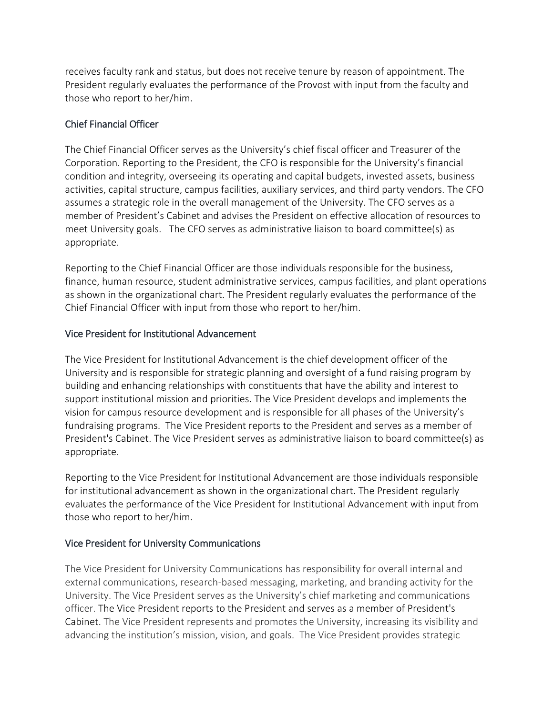receives faculty rank and status, but does not receive tenure by reason of appointment. The President regularly evaluates the performance of the Provost with input from the faculty and those who report to her/him.

## Chief Financial Officer

The Chief Financial Officer serves as the University's chief fiscal officer and Treasurer of the Corporation. Reporting to the President, the CFO is responsible for the University's financial condition and integrity, overseeing its operating and capital budgets, invested assets, business activities, capital structure, campus facilities, auxiliary services, and third party vendors. The CFO assumes a strategic role in the overall management of the University. The CFO serves as a member of President's Cabinet and advises the President on effective allocation of resources to meet University goals. The CFO serves as administrative liaison to board committee(s) as appropriate.

Reporting to the Chief Financial Officer are those individuals responsible for the business, finance, human resource, student administrative services, campus facilities, and plant operations as shown in the organizational chart. The President regularly evaluates the performance of the Chief Financial Officer with input from those who report to her/him.

# Vice President for Institutional Advancement

The Vice President for Institutional Advancement is the chief development officer of the University and is responsible for strategic planning and oversight of a fund raising program by building and enhancing relationships with constituents that have the ability and interest to support institutional mission and priorities. The Vice President develops and implements the vision for campus resource development and is responsible for all phases of the University's fundraising programs. The Vice President reports to the President and serves as a member of President's Cabinet. The Vice President serves as administrative liaison to board committee(s) as appropriate.

Reporting to the Vice President for Institutional Advancement are those individuals responsible for institutional advancement as shown in the organizational chart. The President regularly evaluates the performance of the Vice President for Institutional Advancement with input from those who report to her/him.

# Vice President for University Communications

The Vice President for University Communications has responsibility for overall internal and external communications, research-based messaging, marketing, and branding activity for the University. The Vice President serves as the University's chief marketing and communications officer. The Vice President reports to the President and serves as a member of President's Cabinet. The Vice President represents and promotes the University, increasing its visibility and advancing the institution's mission, vision, and goals. The Vice President provides strategic